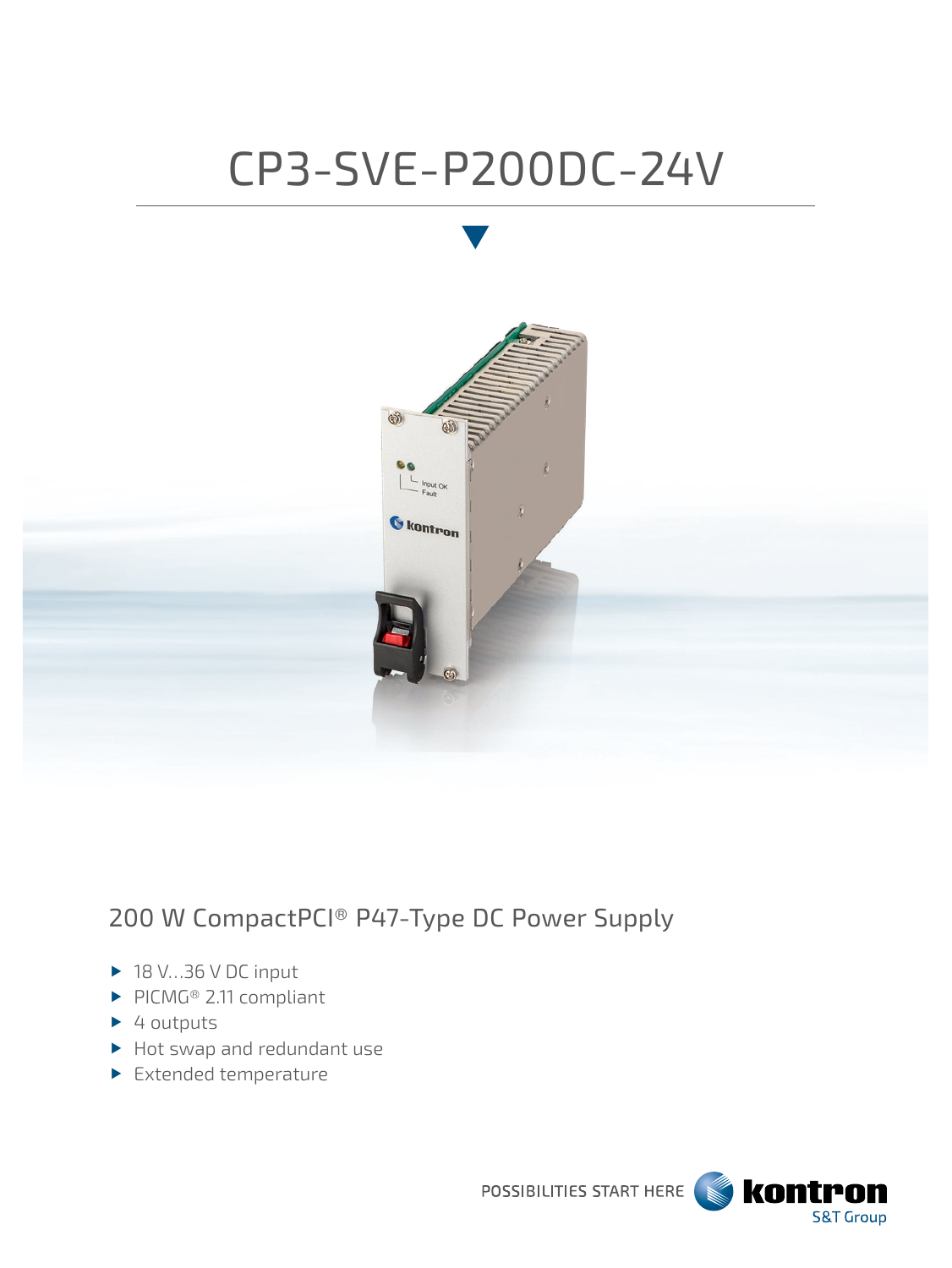# CP3-SVE-P200DC-24V



# 200 W CompactPCI® P47-Type DC Power Supply

- $\blacktriangleright$  18 V…36 V DC input
- PICMG® 2.11 compliant
- $\blacktriangleright$  4 outputs
- ▶ Hot swap and redundant use
- Extended temperature

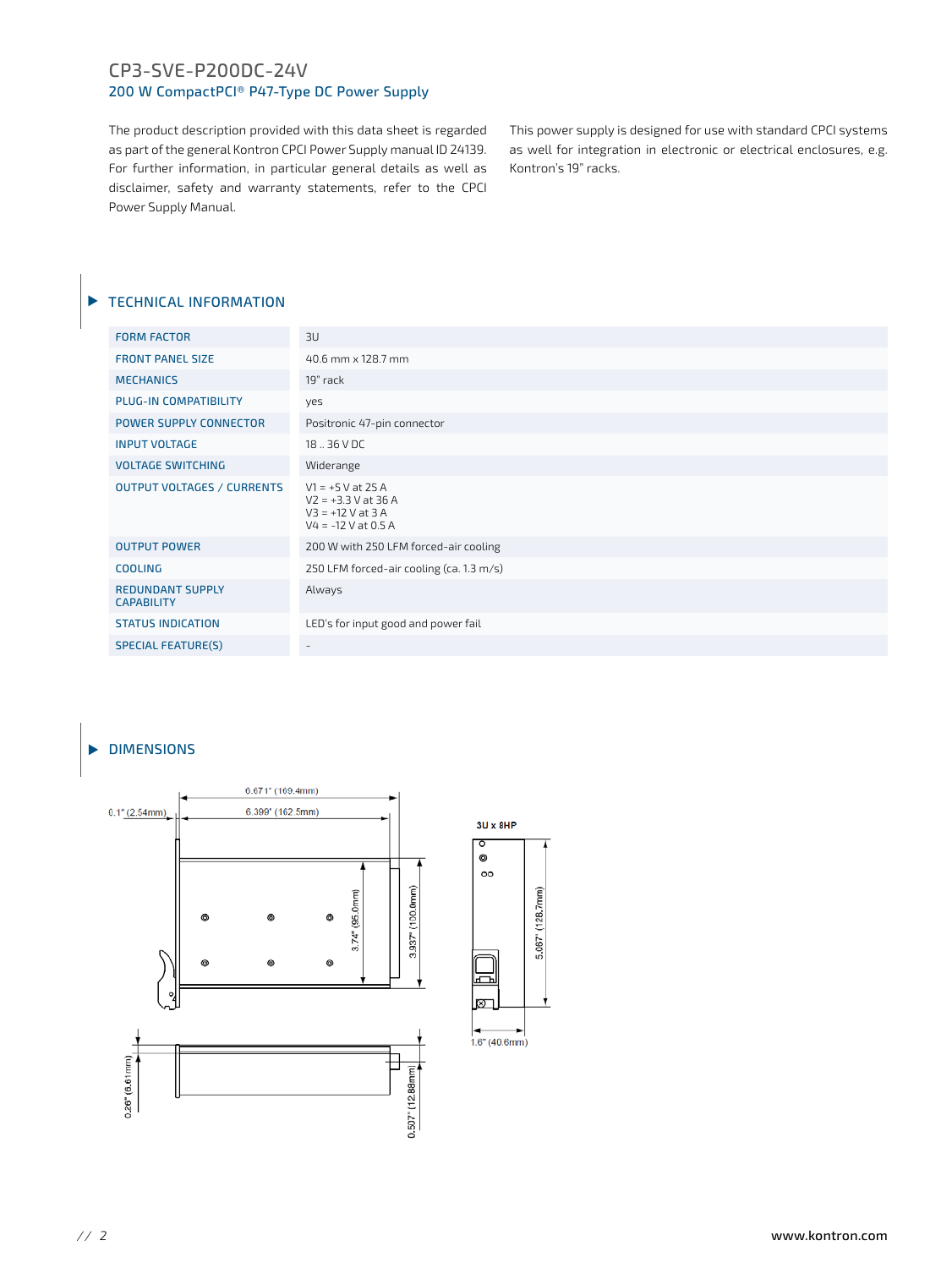## CP3-SVE-P200DC-24V 200 W CompactPCI® P47-Type DC Power Supply

The product description provided with this data sheet is regarded as part of the general Kontron CPCI Power Supply manual ID 24139. For further information, in particular general details as well as disclaimer, safety and warranty statements, refer to the CPCI Power Supply Manual.

This power supply is designed for use with standard CPCI systems as well for integration in electronic or electrical enclosures, e.g. Kontron's 19" racks.

# TECHNICAL INFORMATION

| <b>FORM FACTOR</b>                           | 3U                                                                                           |
|----------------------------------------------|----------------------------------------------------------------------------------------------|
| <b>FRONT PANEL SIZE</b>                      | 40.6 mm x 128.7 mm                                                                           |
| <b>MECHANICS</b>                             | 19" rack                                                                                     |
| <b>PLUG-IN COMPATIBILITY</b>                 | yes                                                                                          |
| <b>POWER SUPPLY CONNECTOR</b>                | Positronic 47-pin connector                                                                  |
| <b>INPUT VOLTAGE</b>                         | 18  36 V DC                                                                                  |
| <b>VOLTAGE SWITCHING</b>                     | Widerange                                                                                    |
| <b>OUTPUT VOLTAGES / CURRENTS</b>            | $V1 = +5 V at 25 A$<br>$V2 = +3.3 V$ at 36 A<br>$V3 = +12 V at 3 A$<br>$V4 = -12 V at 0.5 A$ |
| <b>OUTPUT POWER</b>                          | 200 W with 250 LFM forced-air cooling                                                        |
| <b>COOLING</b>                               | 250 LFM forced-air cooling (ca. 1.3 m/s)                                                     |
| <b>REDUNDANT SUPPLY</b><br><b>CAPABILITY</b> | Always                                                                                       |
| <b>STATUS INDICATION</b>                     | LED's for input good and power fail                                                          |
| <b>SPECIAL FEATURE(S)</b>                    | $\overline{\phantom{a}}$                                                                     |
|                                              |                                                                                              |

# DIMENSIONS



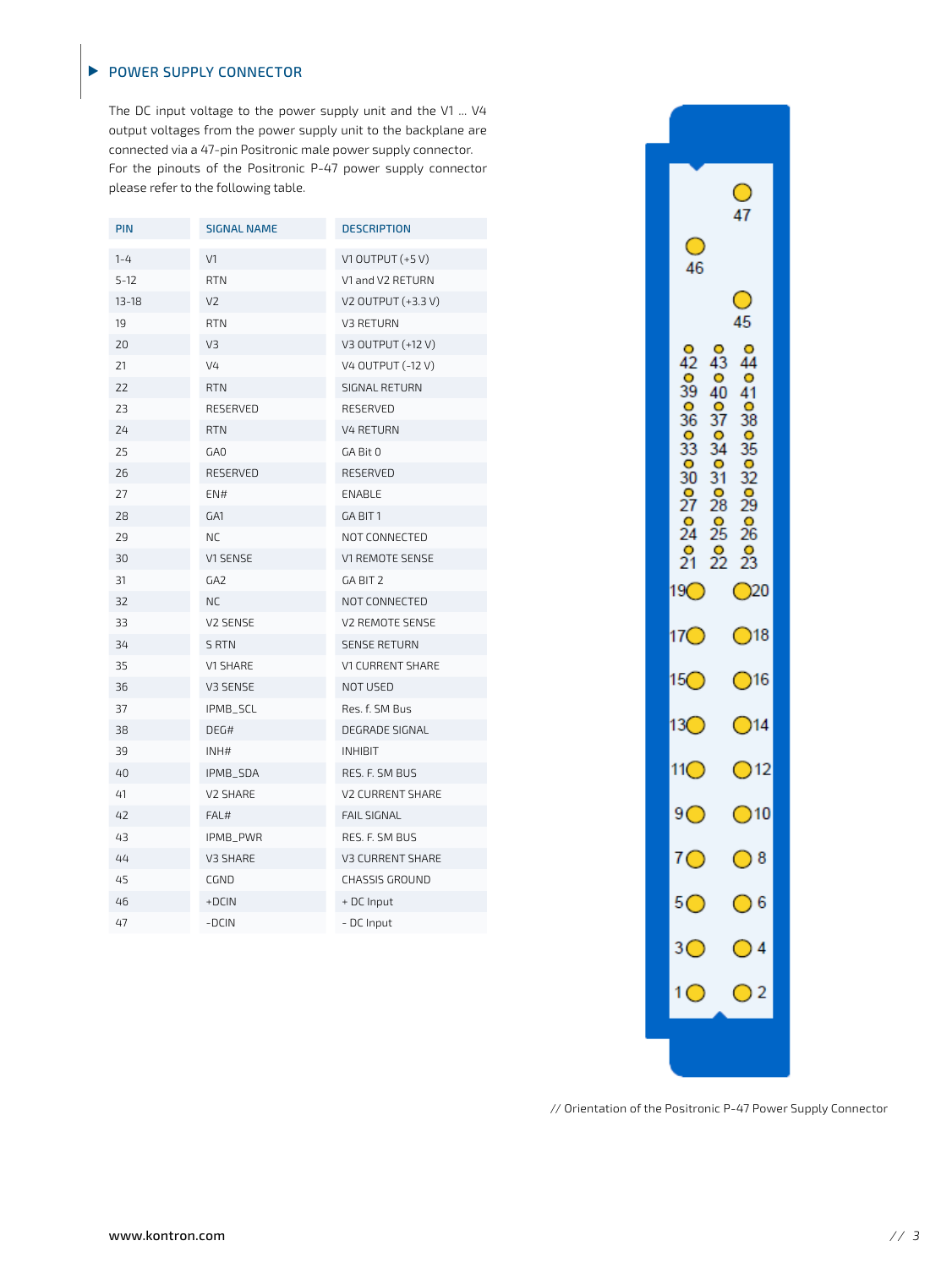# POWER SUPPLY CONNECTOR

 $\blacktriangleright$ 

The DC input voltage to the power supply unit and the V1 ... V4 output voltages from the power supply unit to the backplane are connected via a 47-pin Positronic male power supply connector. For the pinouts of the Positronic P-47 power supply connector please refer to the following table.

| PIN       | <b>SIGNAL NAME</b> | <b>DESCRIPTION</b>      |
|-----------|--------------------|-------------------------|
| $1 - 4$   | V1                 | V1 OUTPUT $(+5 V)$      |
| $5 - 12$  | <b>RTN</b>         | V1 and V2 RETURN        |
| $13 - 18$ | V <sub>2</sub>     | V2 OUTPUT (+3.3 V)      |
| 19        | <b>RTN</b>         | V3 RETURN               |
| 20        | V3                 | V3 OUTPUT (+12 V)       |
| 21        | V <sub>4</sub>     | V4 OUTPUT (-12 V)       |
| 22        | <b>RTN</b>         | SIGNAL RETURN           |
| 23        | RESERVED           | RESERVED                |
| 24        | <b>RTN</b>         | <b>V4 RETURN</b>        |
| 25        | GA0                | GA Bit 0                |
| 26        | RESERVED           | RESERVED                |
| 27        | EN#                | ENABLE                  |
| 28        | GA1                | GA BIT 1                |
| 29        | <b>NC</b>          | NOT CONNECTED           |
| 30        | V1 SENSE           | V1 REMOTE SENSE         |
| 31        | GA <sub>2</sub>    | GA BIT 2                |
| 32        | NC.                | NOT CONNECTED           |
| 33        | V2 SENSE           | V2 REMOTE SENSE         |
| 34        | <b>S RTN</b>       | <b>SENSE RETURN</b>     |
| 35        | V1 SHARE           | V1 CURRENT SHARE        |
| 36        | V3 SENSE           | NOT USED                |
| 37        | IPMB_SCL           | Res. f. SM Bus          |
| 38        | DEG#               | DEGRADE SIGNAL          |
| 39        | INHH               | <b>INHIBIT</b>          |
| 40        | IPMB_SDA           | RES. F. SM BUS          |
| 41        | V2 SHARE           | <b>V2 CURRENT SHARE</b> |
| 42        | FAL#               | <b>FAIL SIGNAL</b>      |
| 43        | IPMB_PWR           | RES. F. SM BUS          |
| 44        | V3 SHARE           | <b>V3 CURRENT SHARE</b> |
| 45        | CGND               | CHASSIS GROUND          |
| 46        | $+DCIN$            | + DC Input              |
| 47        | -DCIN              | - DC Input              |
|           |                    |                         |



// Orientation of the Positronic P-47 Power Supply Connector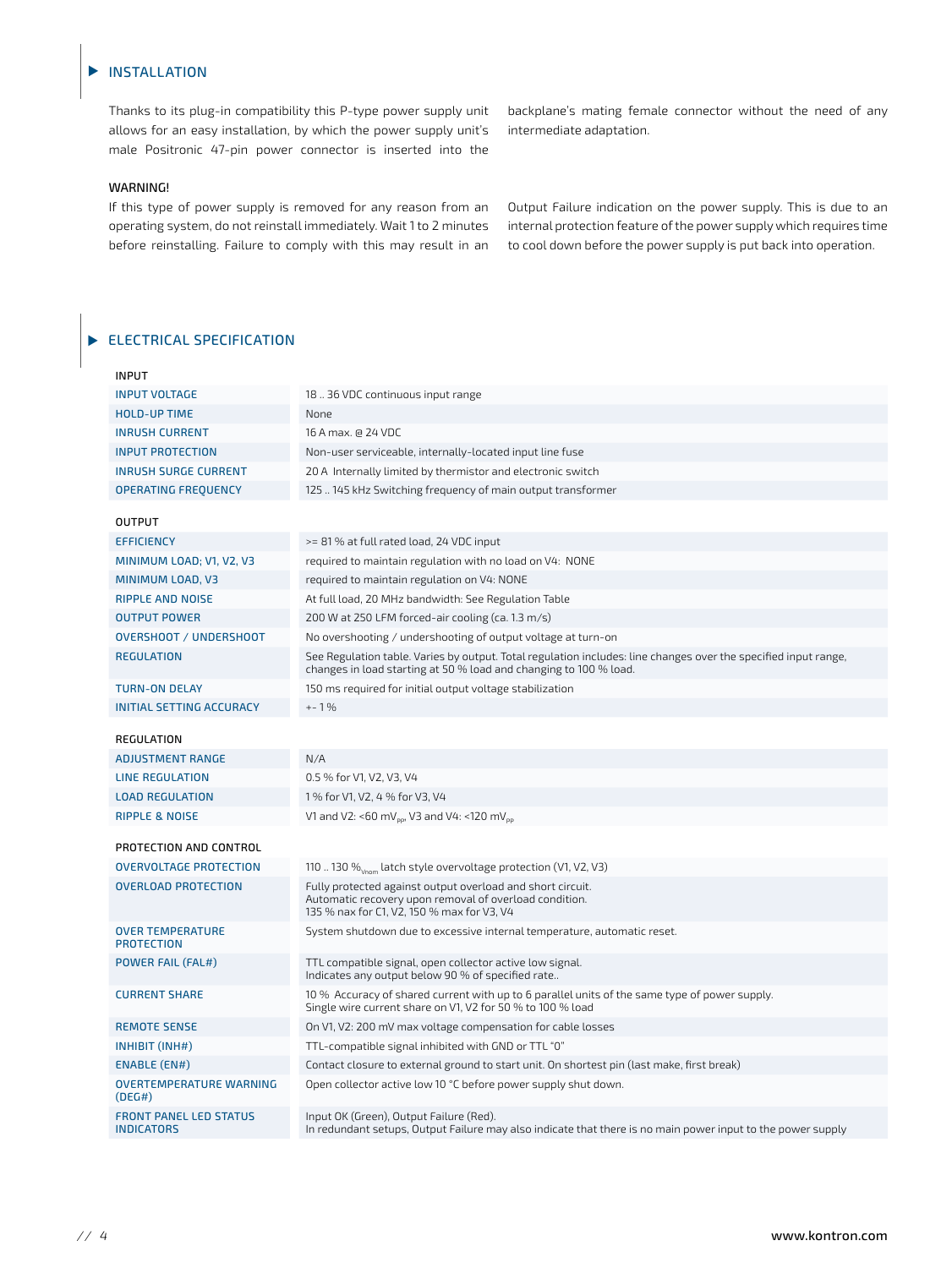#### INSTALLATION  $\blacktriangleright$

Thanks to its plug-in compatibility this P-type power supply unit allows for an easy installation, by which the power supply unit's male Positronic 47-pin power connector is inserted into the

#### WARNING!

If this type of power supply is removed for any reason from an operating system, do not reinstall immediately. Wait 1 to 2 minutes before reinstalling. Failure to comply with this may result in an backplane's mating female connector without the need of any intermediate adaptation.

Output Failure indication on the power supply. This is due to an internal protection feature of the power supply which requires time to cool down before the power supply is put back into operation.

# ELECTRICAL SPECIFICATION

| <b>INPUT</b>                                       |                                                                                                                                                                                      |
|----------------------------------------------------|--------------------------------------------------------------------------------------------------------------------------------------------------------------------------------------|
| <b>INPUT VOLTAGE</b>                               | 18.36 VDC continuous input range                                                                                                                                                     |
| <b>HOLD-UP TIME</b>                                | None                                                                                                                                                                                 |
| <b>INRUSH CURRENT</b>                              | 16 A max. @ 24 VDC                                                                                                                                                                   |
| <b>INPUT PROTECTION</b>                            | Non-user serviceable, internally-located input line fuse                                                                                                                             |
| <b>INRUSH SURGE CURRENT</b>                        | 20 A Internally limited by thermistor and electronic switch                                                                                                                          |
| <b>OPERATING FREOUENCY</b>                         | 125  145 kHz Switching frequency of main output transformer                                                                                                                          |
| <b>OUTPUT</b>                                      |                                                                                                                                                                                      |
| <b>EFFICIENCY</b>                                  | >= 81 % at full rated load, 24 VDC input                                                                                                                                             |
| MINIMUM LOAD; V1, V2, V3                           | required to maintain regulation with no load on V4: NONE                                                                                                                             |
| MINIMUM LOAD, V3                                   | required to maintain regulation on V4: NONE                                                                                                                                          |
| <b>RIPPLE AND NOISE</b>                            | At full load, 20 MHz bandwidth: See Regulation Table                                                                                                                                 |
| <b>OUTPUT POWER</b>                                | 200 W at 250 LFM forced-air cooling (ca. 1.3 m/s)                                                                                                                                    |
| <b>OVERSHOOT / UNDERSHOOT</b>                      | No overshooting / undershooting of output voltage at turn-on                                                                                                                         |
| <b>REGULATION</b>                                  | See Regulation table. Varies by output. Total regulation includes: line changes over the specified input range,<br>changes in load starting at 50 % load and changing to 100 % load. |
| <b>TURN-ON DELAY</b>                               | 150 ms required for initial output voltage stabilization                                                                                                                             |
| <b>INITIAL SETTING ACCURACY</b>                    | $+-1%$                                                                                                                                                                               |
| REGULATION                                         |                                                                                                                                                                                      |
| <b>ADJUSTMENT RANGE</b>                            | N/A                                                                                                                                                                                  |
| <b>LINE REGULATION</b>                             | 0.5 % for V1, V2, V3, V4                                                                                                                                                             |
| <b>LOAD REGULATION</b>                             | 1 % for V1, V2, 4 % for V3, V4                                                                                                                                                       |
| <b>RIPPLE &amp; NOISE</b>                          | V1 and V2: <60 mV <sub>oo</sub> , V3 and V4: <120 mV <sub>oo</sub>                                                                                                                   |
|                                                    |                                                                                                                                                                                      |
| PROTECTION AND CONTROL                             |                                                                                                                                                                                      |
| <b>OVERVOLTAGE PROTECTION</b>                      | 110  130 $\%$ <sub>Vnom</sub> latch style overvoltage protection (V1, V2, V3)                                                                                                        |
| <b>OVERLOAD PROTECTION</b>                         | Fully protected against output overload and short circuit.<br>Automatic recovery upon removal of overload condition.<br>135 % nax for C1, V2, 150 % max for V3, V4                   |
| <b>OVER TEMPERATURE</b><br><b>PROTECTION</b>       | System shutdown due to excessive internal temperature, automatic reset.                                                                                                              |
| <b>POWER FAIL (FAL#)</b>                           | TTL compatible signal, open collector active low signal.<br>Indicates any output below 90 % of specified rate                                                                        |
| <b>CURRENT SHARE</b>                               | 10 % Accuracy of shared current with up to 6 parallel units of the same type of power supply.<br>Single wire current share on V1, V2 for 50 % to 100 % load                          |
| <b>REMOTE SENSE</b>                                | On V1, V2: 200 mV max voltage compensation for cable losses                                                                                                                          |
| INHIBIT (INH#)                                     | TTL-compatible signal inhibited with GND or TTL "0"                                                                                                                                  |
| <b>ENABLE (EN#)</b>                                | Contact closure to external ground to start unit. On shortest pin (last make, first break)                                                                                           |
| <b>OVERTEMPERATURE WARNING</b><br>(DEG#)           | Open collector active low 10 °C before power supply shut down.                                                                                                                       |
| <b>FRONT PANEL LED STATUS</b><br><b>INDICATORS</b> | Input OK (Green), Output Failure (Red).<br>In redundant setups, Output Failure may also indicate that there is no main power input to the power supply                               |